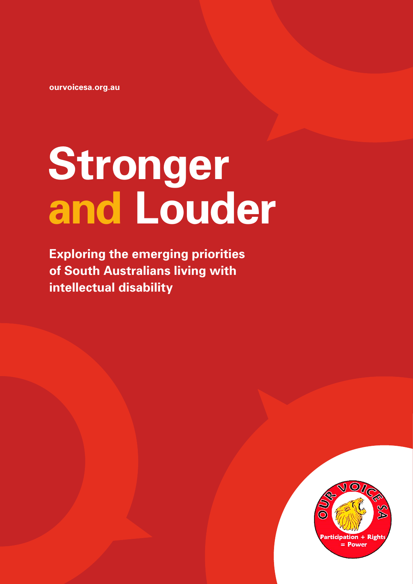**[ourvoicesa.org.au](https://www.ourvoicesa.org.au)** 

## **Stronger and Louder**

**Exploring the emerging priorities of South Australians living with intellectual disability** 

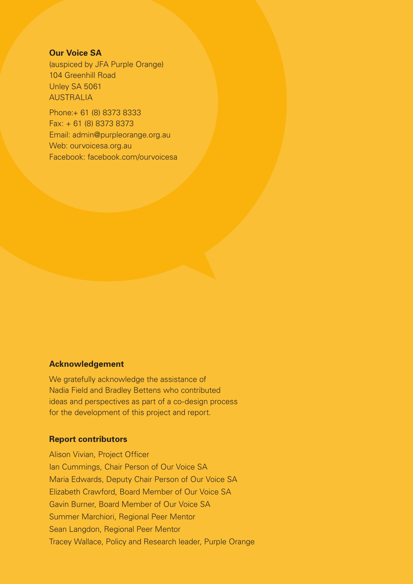#### **Our Voice SA**

(auspiced by JFA Purple Orange) 104 Greenhill Road Unley SA 5061 AUSTRALIA

Phone:+ 61 (8) 8373 8333 Fax: + 61 (8) 8373 8373 Email: [admin@purpleorange.org.au](mailto:admin@purpleorange.org.au)  Web: [ourvoicesa.org.au](https://www.ourvoicesa.org.au)  Facebook: [facebook.com/ourvoicesa](https://www.facebook.com/ourvoicesa) 

#### **Acknowledgement**

We gratefully acknowledge the assistance of Nadia Field and Bradley Bettens who contributed ideas and perspectives as part of a co-design process for the development of this project and report.

#### **Report contributors**

Alison Vivian, Project Officer Ian Cummings, Chair Person of Our Voice SA Maria Edwards, Deputy Chair Person of Our Voice SA Elizabeth Crawford, Board Member of Our Voice SA Gavin Burner, Board Member of Our Voice SA Summer Marchiori, Regional Peer Mentor Sean Langdon, Regional Peer Mentor Tracey Wallace, Policy and Research leader, Purple Orange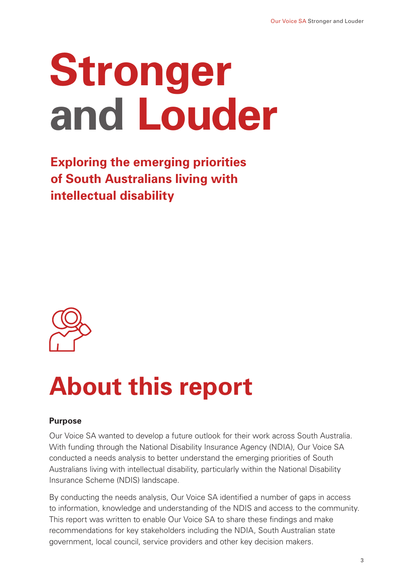## **Stronger and Louder**

**Exploring the emerging priorities of South Australians living with intellectual disability** 



### **About this report**

#### **Purpose**

Our Voice SA wanted to develop a future outlook for their work across South Australia. With funding through the National Disability Insurance Agency (NDIA), Our Voice SA conducted a needs analysis to better understand the emerging priorities of South Australians living with intellectual disability, particularly within the National Disability Insurance Scheme (NDIS) landscape.

By conducting the needs analysis, Our Voice SA identified a number of gaps in access to information, knowledge and understanding of the NDIS and access to the community. This report was written to enable Our Voice SA to share these findings and make recommendations for key stakeholders including the NDIA, South Australian state government, local council, service providers and other key decision makers.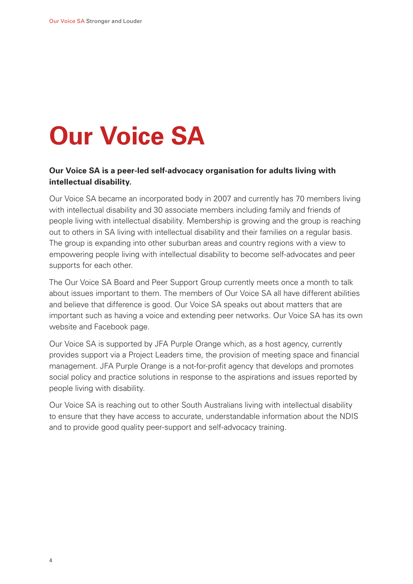### **Our Voice SA**

#### **Our Voice SA is a peer-led self-advocacy organisation for adults living with intellectual disability.**

Our Voice SA became an incorporated body in 2007 and currently has 70 members living with intellectual disability and 30 associate members including family and friends of people living with intellectual disability. Membership is growing and the group is reaching out to others in SA living with intellectual disability and their families on a regular basis. The group is expanding into other suburban areas and country regions with a view to empowering people living with intellectual disability to become self-advocates and peer supports for each other.

The Our Voice SA Board and Peer Support Group currently meets once a month to talk about issues important to them. The members of Our Voice SA all have different abilities and believe that difference is good. Our Voice SA speaks out about matters that are important such as having a voice and extending peer networks. Our Voice SA has its own website and Facebook page.

Our Voice SA is supported by JFA Purple Orange which, as a host agency, currently provides support via a Project Leaders time, the provision of meeting space and financial management. JFA Purple Orange is a not-for-profit agency that develops and promotes social policy and practice solutions in response to the aspirations and issues reported by people living with disability.

Our Voice SA is reaching out to other South Australians living with intellectual disability to ensure that they have access to accurate, understandable information about the NDIS and to provide good quality peer-support and self-advocacy training.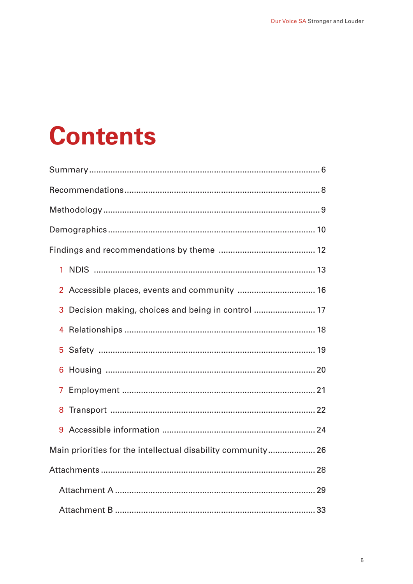### **Contents**

| 1                                                           |
|-------------------------------------------------------------|
| $\mathbf{2}$                                                |
| Decision making, choices and being in control  17<br>3      |
| 4                                                           |
| 5                                                           |
| 6                                                           |
| 7                                                           |
| 8                                                           |
| 9                                                           |
| Main priorities for the intellectual disability community26 |
|                                                             |
|                                                             |
|                                                             |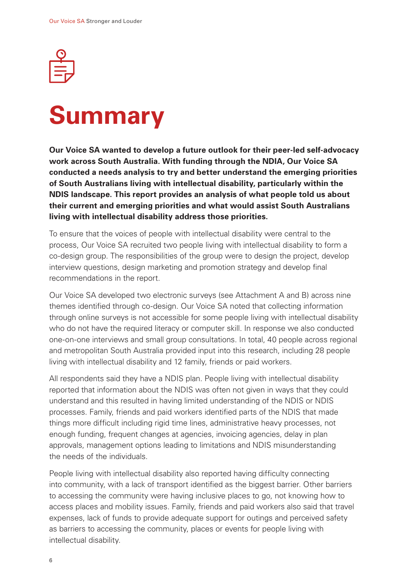<span id="page-5-0"></span>

# **Summary**

**Our Voice SA wanted to develop a future outlook for their peer-led self-advocacy work across South Australia. With funding through the NDIA, Our Voice SA conducted a needs analysis to try and better understand the emerging priorities of South Australians living with intellectual disability, particularly within the NDIS landscape. This report provides an analysis of what people told us about their current and emerging priorities and what would assist South Australians living with intellectual disability address those priorities.** 

To ensure that the voices of people with intellectual disability were central to the process, Our Voice SA recruited two people living with intellectual disability to form a co-design group. The responsibilities of the group were to design the project, develop interview questions, design marketing and promotion strategy and develop final recommendations in the report.

Our Voice SA developed two electronic surveys (see Attachment A and B) across nine themes identified through co-design. Our Voice SA noted that collecting information through online surveys is not accessible for some people living with intellectual disability who do not have the required literacy or computer skill. In response we also conducted one-on-one interviews and small group consultations. In total, 40 people across regional and metropolitan South Australia provided input into this research, including 28 people living with intellectual disability and 12 family, friends or paid workers.

All respondents said they have a NDIS plan. People living with intellectual disability reported that information about the NDIS was often not given in ways that they could understand and this resulted in having limited understanding of the NDIS or NDIS processes. Family, friends and paid workers identified parts of the NDIS that made things more difficult including rigid time lines, administrative heavy processes, not enough funding, frequent changes at agencies, invoicing agencies, delay in plan approvals, management options leading to limitations and NDIS misunderstanding the needs of the individuals.

People living with intellectual disability also reported having difficulty connecting into community, with a lack of transport identified as the biggest barrier. Other barriers to accessing the community were having inclusive places to go, not knowing how to access places and mobility issues. Family, friends and paid workers also said that travel expenses, lack of funds to provide adequate support for outings and perceived safety as barriers to accessing the community, places or events for people living with intellectual disability.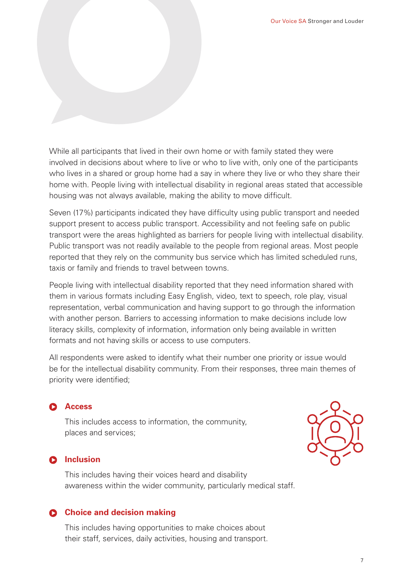While all participants that lived in their own home or with family stated they were involved in decisions about where to live or who to live with, only one of the participants who lives in a shared or group home had a say in where they live or who they share their home with. People living with intellectual disability in regional areas stated that accessible housing was not always available, making the ability to move difficult.

Seven (17%) participants indicated they have difficulty using public transport and needed support present to access public transport. Accessibility and not feeling safe on public transport were the areas highlighted as barriers for people living with intellectual disability. Public transport was not readily available to the people from regional areas. Most people reported that they rely on the community bus service which has limited scheduled runs, taxis or family and friends to travel between towns.

People living with intellectual disability reported that they need information shared with them in various formats including Easy English, video, text to speech, role play, visual representation, verbal communication and having support to go through the information with another person. Barriers to accessing information to make decisions include low literacy skills, complexity of information, information only being available in written formats and not having skills or access to use computers.

All respondents were asked to identify what their number one priority or issue would be for the intellectual disability community. From their responses, three main themes of priority were identified;

#### **Access**

This includes access to information, the community, places and services;

#### **D** Inclusion

This includes having their voices heard and disability awareness within the wider community, particularly medical staff.

#### **Choice and decision making**

This includes having opportunities to make choices about their staff, services, daily activities, housing and transport.

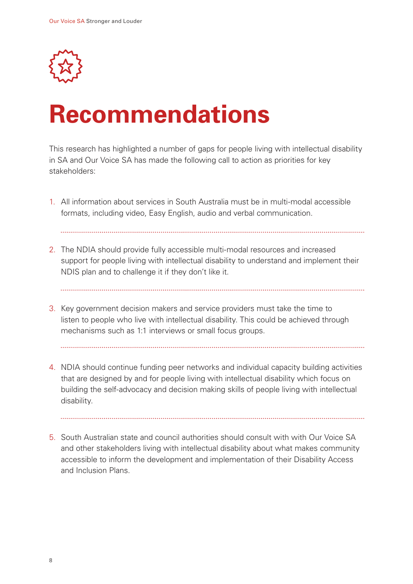<span id="page-7-0"></span>

### **Recommendations**

This research has highlighted a number of gaps for people living with intellectual disability in SA and Our Voice SA has made the following call to action as priorities for key stakeholders:

- 1. All information about services in South Australia must be in multi-modal accessible formats, including video, Easy English, audio and verbal communication.
- 2. The NDIA should provide fully accessible multi-modal resources and increased
- support for people living with intellectual disability to understand and implement their NDIS plan and to challenge it if they don't like it.
	-
- 3. Key government decision makers and service providers must take the time to listen to people who live with intellectual disability. This could be achieved through mechanisms such as 1:1 interviews or small focus groups.
- 4. NDIA should continue funding peer networks and individual capacity building activities that are designed by and for people living with intellectual disability which focus on building the self-advocacy and decision making skills of people living with intellectual disability.
- 5. South Australian state and council authorities should consult with with Our Voice SA and other stakeholders living with intellectual disability about what makes community accessible to inform the development and implementation of their Disability Access and Inclusion Plans.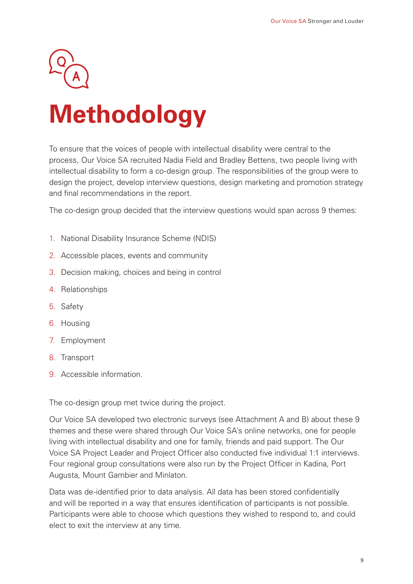<span id="page-8-0"></span>

## **Methodology**

To ensure that the voices of people with intellectual disability were central to the process, Our Voice SA recruited Nadia Field and Bradley Bettens, two people living with intellectual disability to form a co-design group. The responsibilities of the group were to design the project, develop interview questions, design marketing and promotion strategy and final recommendations in the report.

The co-design group decided that the interview questions would span across 9 themes:

- 1. National Disability Insurance Scheme (NDIS)
- 2. Accessible places, events and community
- 3. Decision making, choices and being in control
- 4. Relationships
- 5. Safety
- 6. Housing
- 7. Employment
- 8. Transport
- 9. Accessible information.

The co-design group met twice during the project.

Our Voice SA developed two electronic surveys (see Attachment A and B) about these 9 themes and these were shared through Our Voice SA's online networks, one for people living with intellectual disability and one for family, friends and paid support. The Our Voice SA Project Leader and Project Officer also conducted five individual 1:1 interviews. Four regional group consultations were also run by the Project Officer in Kadina, Port Augusta, Mount Gambier and Minlaton.

Data was de-identified prior to data analysis. All data has been stored confidentially and will be reported in a way that ensures identification of participants is not possible. Participants were able to choose which questions they wished to respond to, and could elect to exit the interview at any time.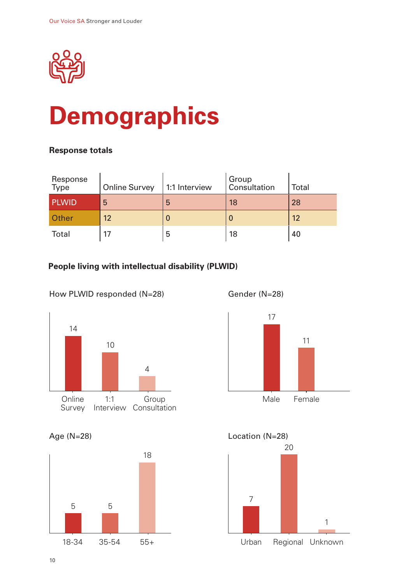<span id="page-9-0"></span>

### **Demographics**

#### **Response totals**

| Response<br>Type | <b>Online Survey</b> | 1:1 Interview | Group<br>Consultation | <b>Total</b> |
|------------------|----------------------|---------------|-----------------------|--------------|
| <b>PLWID</b>     | 5                    | 5             | 18                    | 28           |
| Other            | 12 <sup>2</sup>      |               |                       | 12           |
| <b>Total</b>     |                      | 5             | 18                    | 40           |

#### **People living with intellectual disability (PLWID)**

#### How PLWID responded (N=28)



Age (N=28)





Gender (N=28)





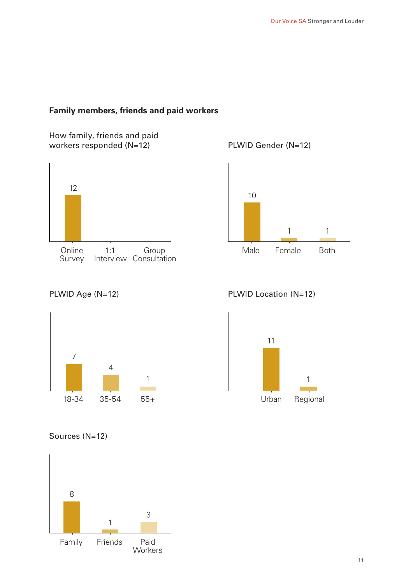#### **Family members, friends and paid workers**

How family, friends and paid workers responded (N=12)







#### PLWID Age (N=12)



PLWID Location (N=12)



Sources (N=12)

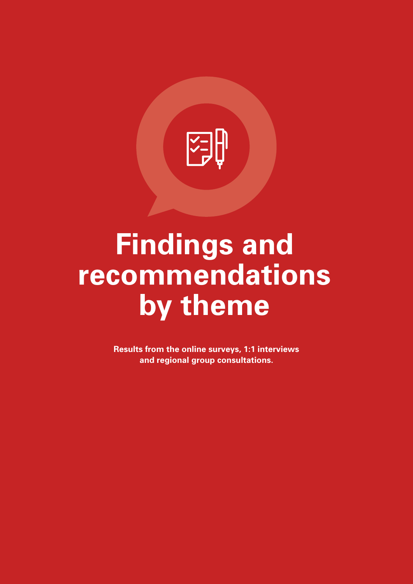<span id="page-11-0"></span>

### **Findings and recommendations**  by theme

**Results from the online surveys, 1:1 interviews and regional group consultations.**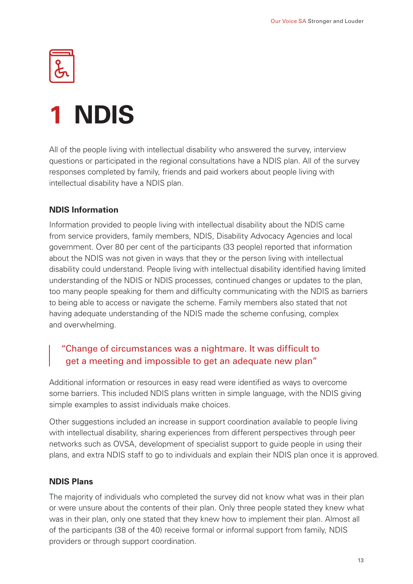<span id="page-12-0"></span>

### **1 NDIS**

All of the people living with intellectual disability who answered the survey, interview questions or participated in the regional consultations have a NDIS plan. All of the survey responses completed by family, friends and paid workers about people living with intellectual disability have a NDIS plan.

#### **NDIS Information**

Information provided to people living with intellectual disability about the NDIS came from service providers, family members, NDIS, Disability Advocacy Agencies and local government. Over 80 per cent of the participants (33 people) reported that information about the NDIS was not given in ways that they or the person living with intellectual disability could understand. People living with intellectual disability identified having limited understanding of the NDIS or NDIS processes, continued changes or updates to the plan, too many people speaking for them and difficulty communicating with the NDIS as barriers to being able to access or navigate the scheme. Family members also stated that not having adequate understanding of the NDIS made the scheme confusing, complex and overwhelming.

#### "Change of circumstances was a nightmare. It was difficult to get a meeting and impossible to get an adequate new plan"

Additional information or resources in easy read were identified as ways to overcome some barriers. This included NDIS plans written in simple language, with the NDIS giving simple examples to assist individuals make choices.

Other suggestions included an increase in support coordination available to people living with intellectual disability, sharing experiences from different perspectives through peer networks such as OVSA, development of specialist support to guide people in using their plans, and extra NDIS staff to go to individuals and explain their NDIS plan once it is approved.

#### **NDIS Plans**

The majority of individuals who completed the survey did not know what was in their plan or were unsure about the contents of their plan. Only three people stated they knew what was in their plan, only one stated that they knew how to implement their plan. Almost all of the participants (38 of the 40) receive formal or informal support from family, NDIS providers or through support coordination.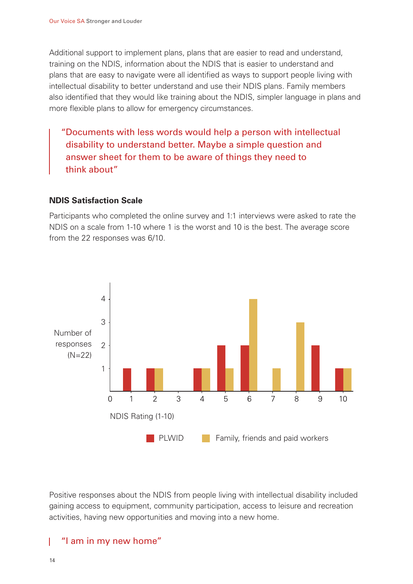Additional support to implement plans, plans that are easier to read and understand, training on the NDIS, information about the NDIS that is easier to understand and plans that are easy to navigate were all identified as ways to support people living with intellectual disability to better understand and use their NDIS plans. Family members also identified that they would like training about the NDIS, simpler language in plans and more flexible plans to allow for emergency circumstances.

"Documents with less words would help a person with intellectual disability to understand better. Maybe a simple question and answer sheet for them to be aware of things they need to think about"

#### **NDIS Satisfaction Scale**

Participants who completed the online survey and 1:1 interviews were asked to rate the NDIS on a scale from 1-10 where 1 is the worst and 10 is the best. The average score from the 22 responses was 6/10.



Positive responses about the NDIS from people living with intellectual disability included gaining access to equipment, community participation, access to leisure and recreation activities, having new opportunities and moving into a new home.

#### "I am in my new home"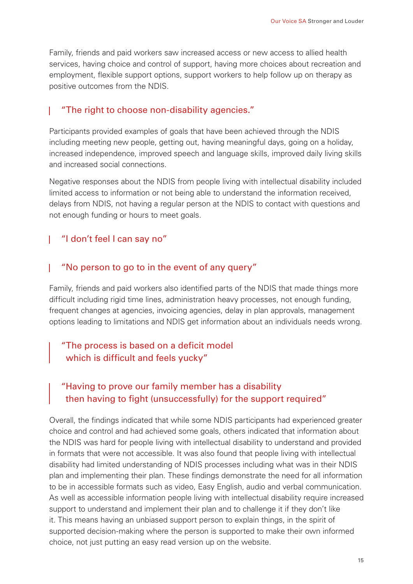Family, friends and paid workers saw increased access or new access to allied health services, having choice and control of support, having more choices about recreation and employment, flexible support options, support workers to help follow up on therapy as positive outcomes from the NDIS.

#### "The right to choose non-disability agencies."

Participants provided examples of goals that have been achieved through the NDIS including meeting new people, getting out, having meaningful days, going on a holiday, increased independence, improved speech and language skills, improved daily living skills and increased social connections.

Negative responses about the NDIS from people living with intellectual disability included limited access to information or not being able to understand the information received, delays from NDIS, not having a regular person at the NDIS to contact with questions and not enough funding or hours to meet goals.

#### "I don't feel I can say no"

#### "No person to go to in the event of any query"

Family, friends and paid workers also identified parts of the NDIS that made things more difficult including rigid time lines, administration heavy processes, not enough funding, frequent changes at agencies, invoicing agencies, delay in plan approvals, management options leading to limitations and NDIS get information about an individuals needs wrong.

#### "The process is based on a deficit model which is difficult and feels yucky"

#### "Having to prove our family member has a disability then having to fight (unsuccessfully) for the support required"

Overall, the findings indicated that while some NDIS participants had experienced greater choice and control and had achieved some goals, others indicated that information about the NDIS was hard for people living with intellectual disability to understand and provided in formats that were not accessible. It was also found that people living with intellectual disability had limited understanding of NDIS processes including what was in their NDIS plan and implementing their plan. These findings demonstrate the need for all information to be in accessible formats such as video, Easy English, audio and verbal communication. As well as accessible information people living with intellectual disability require increased support to understand and implement their plan and to challenge it if they don't like it. This means having an unbiased support person to explain things, in the spirit of supported decision-making where the person is supported to make their own informed choice, not just putting an easy read version up on the website.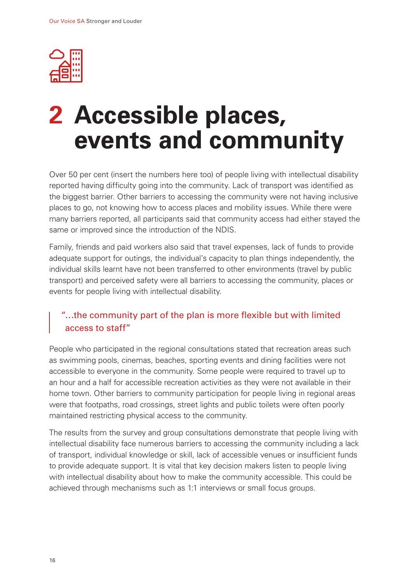<span id="page-15-0"></span>

### **2 Accessible places, events and community**

Over 50 per cent (insert the numbers here too) of people living with intellectual disability reported having difficulty going into the community. Lack of transport was identified as the biggest barrier. Other barriers to accessing the community were not having inclusive places to go, not knowing how to access places and mobility issues. While there were many barriers reported, all participants said that community access had either stayed the same or improved since the introduction of the NDIS.

Family, friends and paid workers also said that travel expenses, lack of funds to provide adequate support for outings, the individual's capacity to plan things independently, the individual skills learnt have not been transferred to other environments (travel by public transport) and perceived safety were all barriers to accessing the community, places or events for people living with intellectual disability.

#### "…the community part of the plan is more flexible but with limited access to staff"

People who participated in the regional consultations stated that recreation areas such as swimming pools, cinemas, beaches, sporting events and dining facilities were not accessible to everyone in the community. Some people were required to travel up to an hour and a half for accessible recreation activities as they were not available in their home town. Other barriers to community participation for people living in regional areas were that footpaths, road crossings, street lights and public toilets were often poorly maintained restricting physical access to the community.

The results from the survey and group consultations demonstrate that people living with intellectual disability face numerous barriers to accessing the community including a lack of transport, individual knowledge or skill, lack of accessible venues or insufficient funds to provide adequate support. It is vital that key decision makers listen to people living with intellectual disability about how to make the community accessible. This could be achieved through mechanisms such as 1:1 interviews or small focus groups.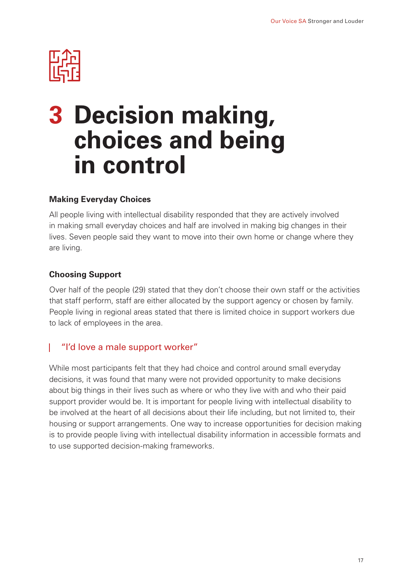<span id="page-16-0"></span>

### **3 Decision making, choices and being in control**

#### **Making Everyday Choices**

All people living with intellectual disability responded that they are actively involved in making small everyday choices and half are involved in making big changes in their lives. Seven people said they want to move into their own home or change where they are living.

#### **Choosing Support**

Over half of the people (29) stated that they don't choose their own staff or the activities that staff perform, staff are either allocated by the support agency or chosen by family. People living in regional areas stated that there is limited choice in support workers due to lack of employees in the area.

#### "I'd love a male support worker"

While most participants felt that they had choice and control around small everyday decisions, it was found that many were not provided opportunity to make decisions about big things in their lives such as where or who they live with and who their paid support provider would be. It is important for people living with intellectual disability to be involved at the heart of all decisions about their life including, but not limited to, their housing or support arrangements. One way to increase opportunities for decision making is to provide people living with intellectual disability information in accessible formats and to use supported decision-making frameworks.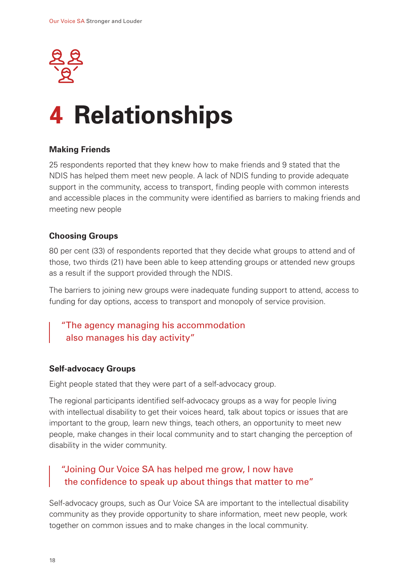<span id="page-17-0"></span>

### **4 Relationships**

#### **Making Friends**

25 respondents reported that they knew how to make friends and 9 stated that the NDIS has helped them meet new people. A lack of NDIS funding to provide adequate support in the community, access to transport, finding people with common interests and accessible places in the community were identified as barriers to making friends and meeting new people

#### **Choosing Groups**

80 per cent (33) of respondents reported that they decide what groups to attend and of those, two thirds (21) have been able to keep attending groups or attended new groups as a result if the support provided through the NDIS.

The barriers to joining new groups were inadequate funding support to attend, access to funding for day options, access to transport and monopoly of service provision.

#### "The agency managing his accommodation also manages his day activity"

#### **Self-advocacy Groups**

Eight people stated that they were part of a self-advocacy group.

The regional participants identified self-advocacy groups as a way for people living with intellectual disability to get their voices heard, talk about topics or issues that are important to the group, learn new things, teach others, an opportunity to meet new people, make changes in their local community and to start changing the perception of disability in the wider community.

#### "Joining Our Voice SA has helped me grow, I now have the confidence to speak up about things that matter to me"

Self-advocacy groups, such as Our Voice SA are important to the intellectual disability community as they provide opportunity to share information, meet new people, work together on common issues and to make changes in the local community.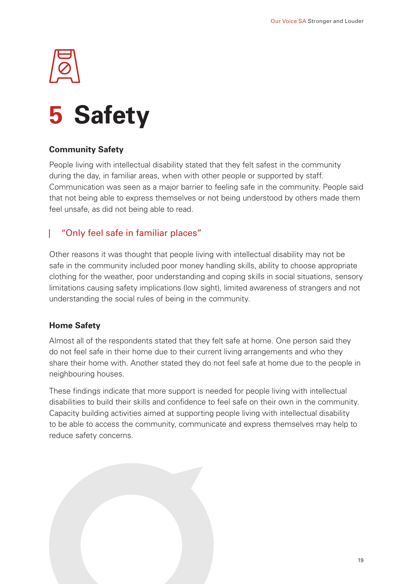### <span id="page-18-0"></span>**5 Safety**

#### **Community Safety**

People living with intellectual disability stated that they felt safest in the community during the day, in familiar areas, when with other people or supported by staff. Communication was seen as a major barrier to feeling safe in the community. People said that not being able to express themselves or not being understood by others made them feel unsafe, as did not being able to read.

#### "Only feel safe in familiar places"

Other reasons it was thought that people living with intellectual disability may not be safe in the community included poor money handling skills, ability to choose appropriate clothing for the weather, poor understanding and coping skills in social situations, sensory limitations causing safety implications (low sight), limited awareness of strangers and not understanding the social rules of being in the community.

#### **Home Safety**

Almost all of the respondents stated that they felt safe at home. One person said they do not feel safe in their home due to their current living arrangements and who they share their home with. Another stated they do not feel safe at home due to the people in neighbouring houses.

These findings indicate that more support is needed for people living with intellectual disabilities to build their skills and confidence to feel safe on their own in the community. Capacity building activities aimed at supporting people living with intellectual disability to be able to access the community, communicate and express themselves may help to reduce safety concerns.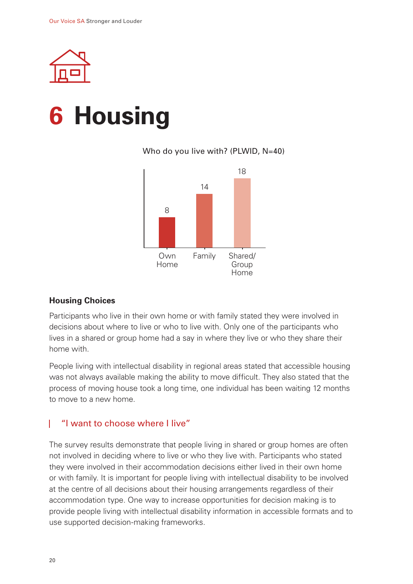<span id="page-19-0"></span>

### **6 Housing**

#### Who do you live with? (PLWID, N=40)



#### **Housing Choices**

Participants who live in their own home or with family stated they were involved in decisions about where to live or who to live with. Only one of the participants who lives in a shared or group home had a say in where they live or who they share their home with.

People living with intellectual disability in regional areas stated that accessible housing was not always available making the ability to move difficult. They also stated that the process of moving house took a long time, one individual has been waiting 12 months to move to a new home.

#### "I want to choose where I live"  $\mathbf{L}$

The survey results demonstrate that people living in shared or group homes are often not involved in deciding where to live or who they live with. Participants who stated they were involved in their accommodation decisions either lived in their own home or with family. It is important for people living with intellectual disability to be involved at the centre of all decisions about their housing arrangements regardless of their accommodation type. One way to increase opportunities for decision making is to provide people living with intellectual disability information in accessible formats and to use supported decision-making frameworks.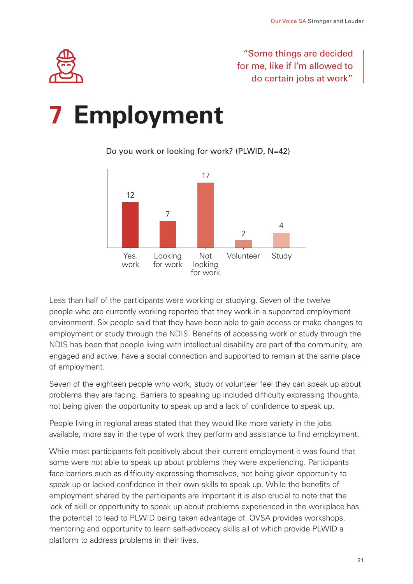### "Some things are decided for me, like if I'm allowed to do certain jobs at work"

<span id="page-20-0"></span>

### **7 Employment**

Do you work or looking for work? (PLWID, N=42)



Less than half of the participants were working or studying. Seven of the twelve people who are currently working reported that they work in a supported employment environment. Six people said that they have been able to gain access or make changes to employment or study through the NDIS. Benefits of accessing work or study through the NDIS has been that people living with intellectual disability are part of the community, are engaged and active, have a social connection and supported to remain at the same place of employment.

Seven of the eighteen people who work, study or volunteer feel they can speak up about problems they are facing. Barriers to speaking up included difficulty expressing thoughts, not being given the opportunity to speak up and a lack of confidence to speak up.

People living in regional areas stated that they would like more variety in the jobs available, more say in the type of work they perform and assistance to find employment.

While most participants felt positively about their current employment it was found that some were not able to speak up about problems they were experiencing. Participants face barriers such as difficulty expressing themselves, not being given opportunity to speak up or lacked confidence in their own skills to speak up. While the benefits of employment shared by the participants are important it is also crucial to note that the lack of skill or opportunity to speak up about problems experienced in the workplace has the potential to lead to PLWID being taken advantage of. OVSA provides workshops, mentoring and opportunity to learn self-advocacy skills all of which provide PLWID a platform to address problems in their lives.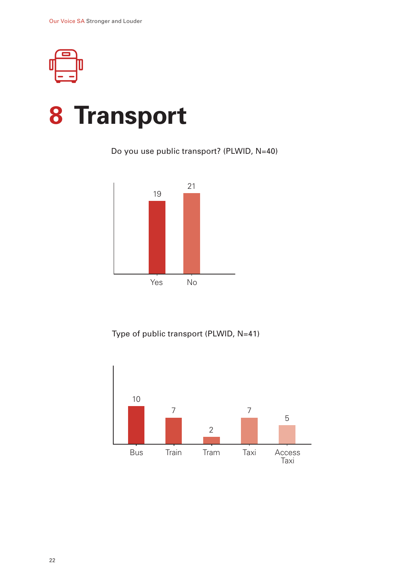<span id="page-21-0"></span>

### **8 Transport**

Do you use public transport? (PLWID, N=40)



Type of public transport (PLWID, N=41)

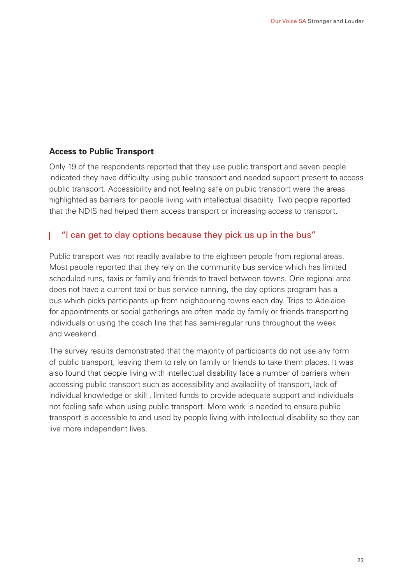#### **Access to Public Transport**

Only 19 of the respondents reported that they use public transport and seven people indicated they have difficulty using public transport and needed support present to access public transport. Accessibility and not feeling safe on public transport were the areas highlighted as barriers for people living with intellectual disability. Two people reported that the NDIS had helped them access transport or increasing access to transport.

#### "I can get to day options because they pick us up in the bus"

Public transport was not readily available to the eighteen people from regional areas. Most people reported that they rely on the community bus service which has limited scheduled runs, taxis or family and friends to travel between towns. One regional area does not have a current taxi or bus service running, the day options program has a bus which picks participants up from neighbouring towns each day. Trips to Adelaide for appointments or social gatherings are often made by family or friends transporting individuals or using the coach line that has semi-regular runs throughout the week and weekend.

The survey results demonstrated that the majority of participants do not use any form of public transport, leaving them to rely on family or friends to take them places. It was also found that people living with intellectual disability face a number of barriers when accessing public transport such as accessibility and availability of transport, lack of individual knowledge or skill , limited funds to provide adequate support and individuals not feeling safe when using public transport. More work is needed to ensure public transport is accessible to and used by people living with intellectual disability so they can live more independent lives.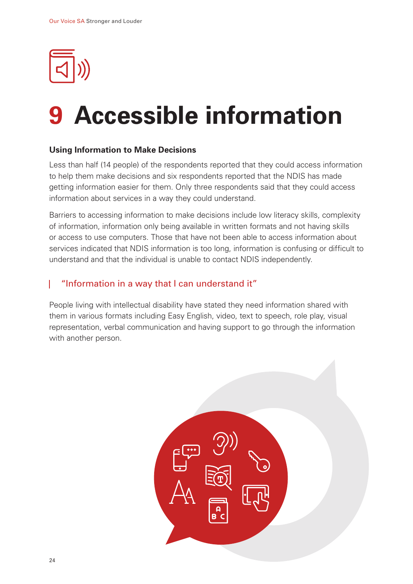<span id="page-23-0"></span>

### **9 Accessible information**

#### **Using Information to Make Decisions**

Less than half (14 people) of the respondents reported that they could access information to help them make decisions and six respondents reported that the NDIS has made getting information easier for them. Only three respondents said that they could access information about services in a way they could understand.

Barriers to accessing information to make decisions include low literacy skills, complexity of information, information only being available in written formats and not having skills or access to use computers. Those that have not been able to access information about services indicated that NDIS information is too long, information is confusing or difficult to understand and that the individual is unable to contact NDIS independently.

#### "Information in a way that I can understand it"

People living with intellectual disability have stated they need information shared with them in various formats including Easy English, video, text to speech, role play, visual representation, verbal communication and having support to go through the information with another person.

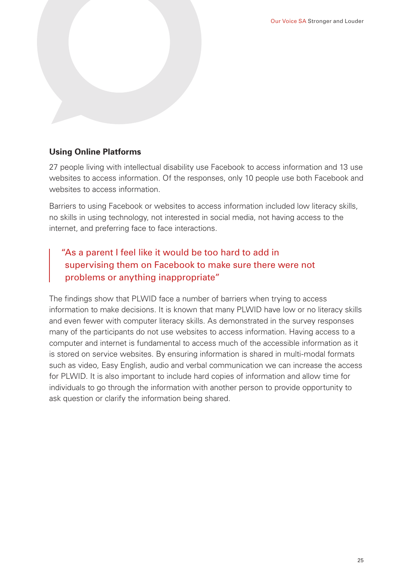

#### **Using Online Platforms**

27 people living with intellectual disability use Facebook to access information and 13 use websites to access information. Of the responses, only 10 people use both Facebook and websites to access information.

Barriers to using Facebook or websites to access information included low literacy skills, no skills in using technology, not interested in social media, not having access to the internet, and preferring face to face interactions.

#### "As a parent I feel like it would be too hard to add in supervising them on Facebook to make sure there were not problems or anything inappropriate"

The findings show that PLWID face a number of barriers when trying to access information to make decisions. It is known that many PLWID have low or no literacy skills and even fewer with computer literacy skills. As demonstrated in the survey responses many of the participants do not use websites to access information. Having access to a computer and internet is fundamental to access much of the accessible information as it is stored on service websites. By ensuring information is shared in multi-modal formats such as video, Easy English, audio and verbal communication we can increase the access for PLWID. It is also important to include hard copies of information and allow time for individuals to go through the information with another person to provide opportunity to ask question or clarify the information being shared.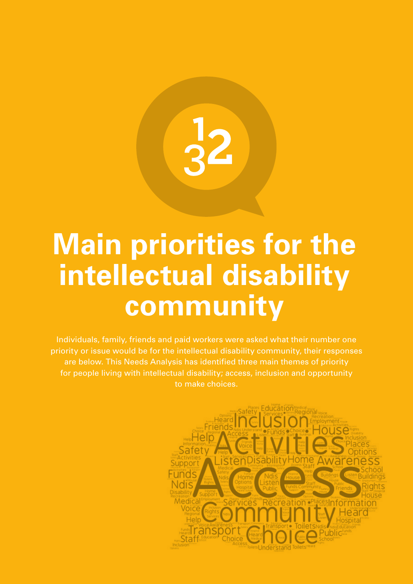### <span id="page-25-0"></span>**Main priorities for the intellectual disability community**

Individuals, family, friends and paid workers were asked what their number one priority or issue would be for the intellectual disability community, their responses are below. This Needs Analysis has identified three main themes of priority for people living with intellectual disability; access, inclusion and opportunity to make choices.

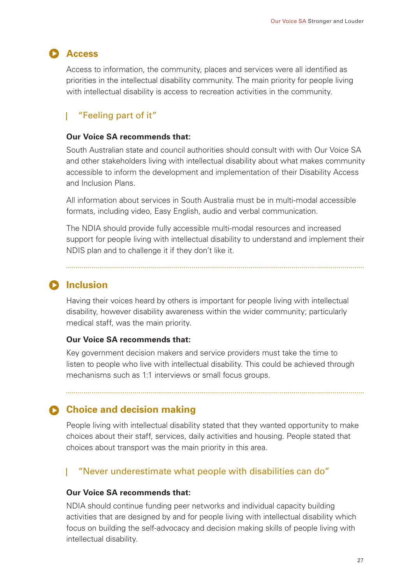#### **Access**

Access to information, the community, places and services were all identified as priorities in the intellectual disability community. The main priority for people living with intellectual disability is access to recreation activities in the community.

#### "Feeling part of it"

#### **Our Voice SA recommends that:**

South Australian state and council authorities should consult with with Our Voice SA and other stakeholders living with intellectual disability about what makes community accessible to inform the development and implementation of their Disability Access and Inclusion Plans.

All information about services in South Australia must be in multi-modal accessible formats, including video, Easy English, audio and verbal communication.

The NDIA should provide fully accessible multi-modal resources and increased support for people living with intellectual disability to understand and implement their NDIS plan and to challenge it if they don't like it.

#### **D** Inclusion

Having their voices heard by others is important for people living with intellectual disability, however disability awareness within the wider community; particularly medical staff, was the main priority.

#### **Our Voice SA recommends that:**

Key government decision makers and service providers must take the time to listen to people who live with intellectual disability. This could be achieved through mechanisms such as 1:1 interviews or small focus groups.

#### **Choice and decision making**

People living with intellectual disability stated that they wanted opportunity to make choices about their staff, services, daily activities and housing. People stated that choices about transport was the main priority in this area.

#### "Never underestimate what people with disabilities can do"

#### **Our Voice SA recommends that:**

NDIA should continue funding peer networks and individual capacity building activities that are designed by and for people living with intellectual disability which focus on building the self-advocacy and decision making skills of people living with intellectual disability.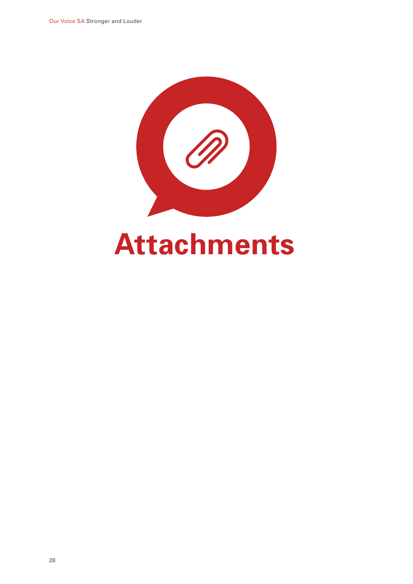<span id="page-27-0"></span>

## **Attachments**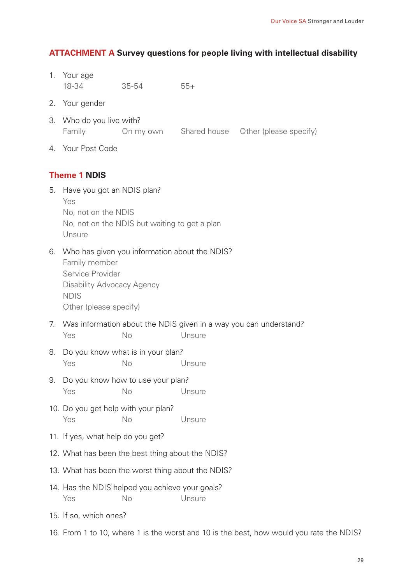#### <span id="page-28-0"></span>**ATTACHMENT A Survey questions for people living with intellectual disability**

- 1. Your age 18-34 35-54 55+
- 2. Your gender
- 3. Who do you live with? Family On my own Shared house Other (please specify)
- 4. Your Post Code

#### **Theme 1 NDIS**

- 5. Have you got an NDIS plan? Yes No, not on the NDIS No, not on the NDIS but waiting to get a plan Unsure
- 6. Who has given you information about the NDIS?

Family member Service Provider Disability Advocacy Agency NDIS Other (please specify)

- 7. Was information about the NDIS given in a way you can understand? Yes No Unsure
- 8. Do you know what is in your plan? Yes No Unsure
- 9. Do you know how to use your plan? Yes No Unsure
- 10. Do you get help with your plan? Yes No Unsure
- 11. If yes, what help do you get?
- 12. What has been the best thing about the NDIS?
- 13. What has been the worst thing about the NDIS?
- 14. Has the NDIS helped you achieve your goals? Yes No Unsure
- 15. If so, which ones?
- 16. From 1 to 10, where 1 is the worst and 10 is the best, how would you rate the NDIS?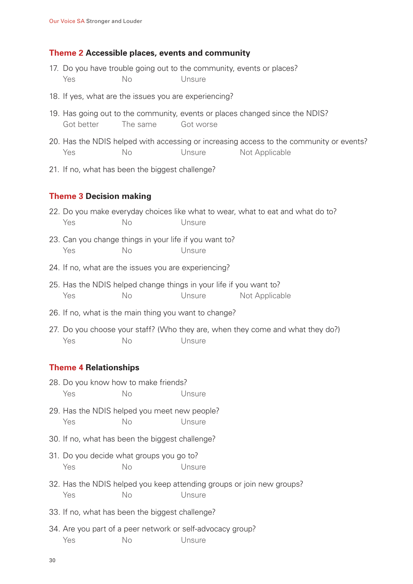#### **Theme 2 Accessible places, events and community**

- 17. Do you have trouble going out to the community, events or places? Yes No Unsure
- 18. If yes, what are the issues you are experiencing?
- 19. Has going out to the community, events or places changed since the NDIS? Got better The same Got worse
- 20. Has the NDIS helped with accessing or increasing access to the community or events? Yes No Unsure Not Applicable
- 21. If no, what has been the biggest challenge?

#### **Theme 3 Decision making**

- 22. Do you make everyday choices like what to wear, what to eat and what do to? Yes No Unsure
- 23. Can you change things in your life if you want to? Yes No Unsure
- 24. If no, what are the issues you are experiencing?
- 25. Has the NDIS helped change things in your life if you want to? Yes No Unsure Not Applicable
- 26. If no, what is the main thing you want to change?
- 27. Do you choose your staff? (Who they are, when they come and what they do?) Yes No Unsure

#### **Theme 4 Relationships**

- 28. Do you know how to make friends? Yes No Unsure
- 29. Has the NDIS helped you meet new people? Yes No Unsure
- 30. If no, what has been the biggest challenge?
- 31. Do you decide what groups you go to? Yes No Unsure
- 32. Has the NDIS helped you keep attending groups or join new groups? Yes No Unsure
- 33. If no, what has been the biggest challenge?
- 34. Are you part of a peer network or self-advocacy group? Yes No Unsure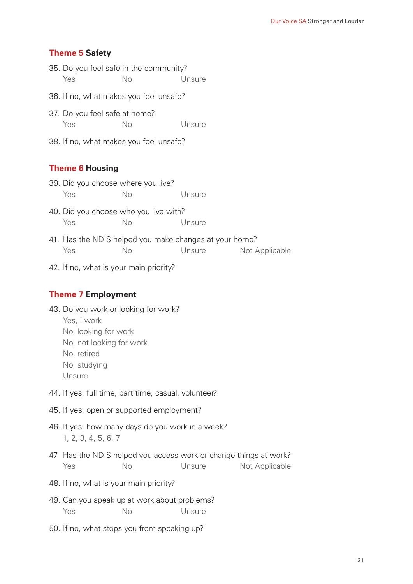#### **Theme 5 Safety**

- 35. Do you feel safe in the community? Yes No Unsure
- 36. If no, what makes you feel unsafe?
- 37. Do you feel safe at home? Yes No Unsure
- 38. If no, what makes you feel unsafe?

#### **Theme 6 Housing**

- 39. Did you choose where you live? Yes No Unsure
- 40. Did you choose who you live with? Yes No Unsure
- 41. Has the NDIS helped you make changes at your home? Yes No Unsure Not Applicable
- 42. If no, what is your main priority?

#### **Theme 7 Employment**

- 43. Do you work or looking for work?
	- Yes, I work
	- No, looking for work
	- No, not looking for work
	- No, retired
	- No, studying
	- Unsure
- 44. If yes, full time, part time, casual, volunteer?
- 45. If yes, open or supported employment?
- 46. If yes, how many days do you work in a week? 1, 2, 3, 4, 5, 6, 7
- 47. Has the NDIS helped you access work or change things at work? Yes No No Unsure Not Applicable
- 48. If no, what is your main priority?
- 49. Can you speak up at work about problems? Yes No Unsure
- 50. If no, what stops you from speaking up?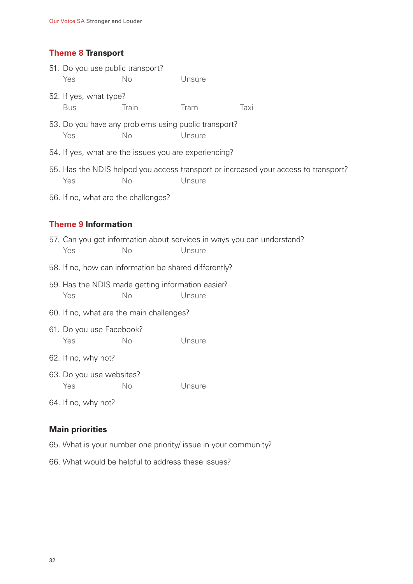#### **Theme 8 Transport**

|                                                       | 51. Do you use public transport?<br>Yes                                  | No    | Unsure                                                         |                                                                                     |  |  |  |  |
|-------------------------------------------------------|--------------------------------------------------------------------------|-------|----------------------------------------------------------------|-------------------------------------------------------------------------------------|--|--|--|--|
|                                                       | 52. If yes, what type?<br><b>Bus</b>                                     | Train | Tram                                                           | Taxi                                                                                |  |  |  |  |
|                                                       | Yes                                                                      | No    | 53. Do you have any problems using public transport?<br>Unsure |                                                                                     |  |  |  |  |
| 54. If yes, what are the issues you are experiencing? |                                                                          |       |                                                                |                                                                                     |  |  |  |  |
|                                                       | Yes                                                                      | No    | Unsure                                                         | 55. Has the NDIS helped you access transport or increased your access to transport? |  |  |  |  |
|                                                       | 56. If no, what are the challenges?                                      |       |                                                                |                                                                                     |  |  |  |  |
|                                                       |                                                                          |       |                                                                |                                                                                     |  |  |  |  |
|                                                       | <b>Theme 9 Information</b>                                               |       |                                                                |                                                                                     |  |  |  |  |
|                                                       | Yes                                                                      | No    | Unsure                                                         | 57. Can you get information about services in ways you can understand?              |  |  |  |  |
| 58. If no, how can information be shared differently? |                                                                          |       |                                                                |                                                                                     |  |  |  |  |
|                                                       | 59. Has the NDIS made getting information easier?<br>Yes<br>No<br>Unsure |       |                                                                |                                                                                     |  |  |  |  |
| 60. If no, what are the main challenges?              |                                                                          |       |                                                                |                                                                                     |  |  |  |  |
|                                                       | 61. Do you use Facebook?<br>Yes                                          | No    | Unsure                                                         |                                                                                     |  |  |  |  |

62. If no, why not?

- 63. Do you use websites? Yes No Unsure
- 64. If no, why not?

#### **Main priorities**

- 65. What is your number one priority/ issue in your community?
- 66. What would be helpful to address these issues?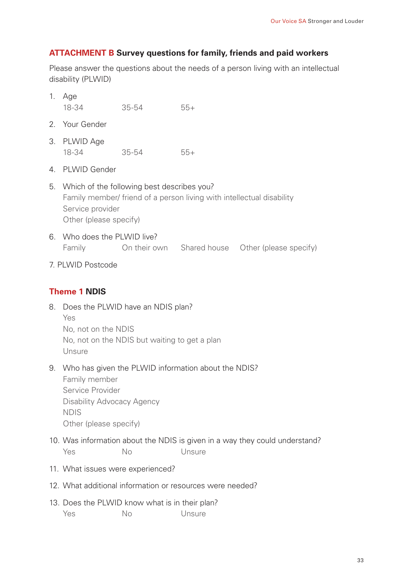#### <span id="page-32-0"></span>**ATTACHMENT B Survey questions for family, friends and paid workers**

Please answer the questions about the needs of a person living with an intellectual disability (PLWID)

- 1. Age 3. PLWID Age 2. Your Gender 5. Which of the following best describes you? 4. PLWID Gender 12. What additional information or resources were needed? 6. Who does the PLWID live? 8. Does the PLWID have an NDIS plan? 9. Who has given the PLWID information about the NDIS? 10. Was information about the NDIS is given in a way they could understand? 11. What issues were experienced? 18-34 35-54 55+ 18-34 35-54 55+ Family member/ friend of a person living with intellectual disability Service provider Other (please specify) Family **On their own** Shared house Other (please specify) 7. PLWID Postcode **Theme 1 NDIS**  Yes No, not on the NDIS No, not on the NDIS but waiting to get a plan **Unsure** Family member Service Provider Disability Advocacy Agency NDIS Other (please specify) Yes No Unsure
- 13. Does the PLWID know what is in their plan? Yes No Unsure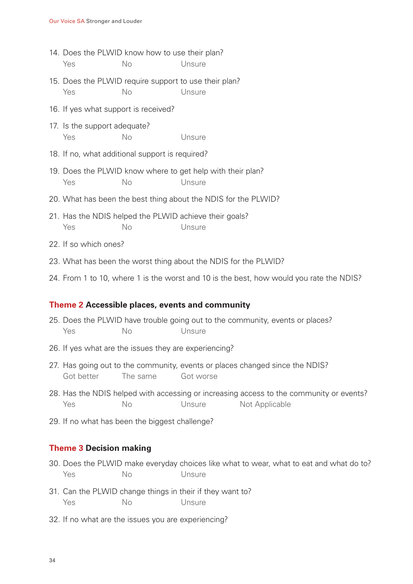- 14. Does the PLWID know how to use their plan? Yes No Unsure
- 15. Does the PLWID require support to use their plan? Yes No Unsure
- 16. If yes what support is received?
- 17. Is the support adequate? Yes No Unsure
- 18. If no, what additional support is required?
- 19. Does the PLWID know where to get help with their plan? Yes No Unsure
- 20. What has been the best thing about the NDIS for the PLWID?
- 21. Has the NDIS helped the PLWID achieve their goals? Yes No Unsure
- 22. If so which ones?
- 23. What has been the worst thing about the NDIS for the PLWID?
- 24. From 1 to 10, where 1 is the worst and 10 is the best, how would you rate the NDIS?

#### **Theme 2 Accessible places, events and community**

- 25. Does the PLWID have trouble going out to the community, events or places? Yes No Unsure
- 26. If yes what are the issues they are experiencing?
- 27. Has going out to the community, events or places changed since the NDIS? Got better The same Got worse
- 28. Has the NDIS helped with accessing or increasing access to the community or events? Yes No Unsure Not Applicable
- 29. If no what has been the biggest challenge?

#### **Theme 3 Decision making**

- 30. Does the PLWID make everyday choices like what to wear, what to eat and what do to? Yes No Unsure
- 31. Can the PLWID change things in their if they want to? Yes No Unsure
- 32. If no what are the issues you are experiencing?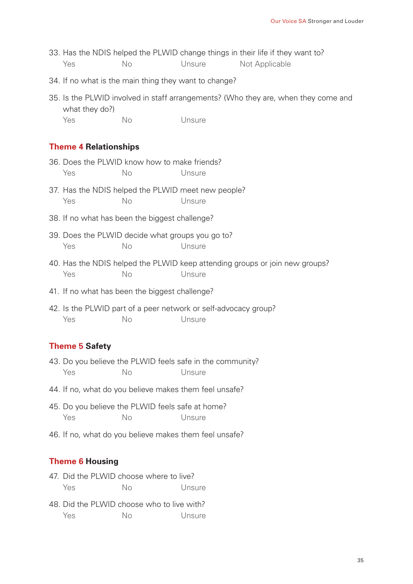- 33. Has the NDIS helped the PLWID change things in their life if they want to? Yes No Unsure Not Applicable
- 34. If no what is the main thing they want to change?
- 35. Is the PLWID involved in staff arrangements? (Who they are, when they come and what they do?) Yes No Unsure
	-

#### **Theme 4 Relationships**

- 36. Does the PLWID know how to make friends? Yes No Unsure
- 37. Has the NDIS helped the PLWID meet new people? Yes No Unsure
- 38. If no what has been the biggest challenge?
- 39. Does the PLWID decide what groups you go to? Yes No Unsure
- 40. Has the NDIS helped the PLWID keep attending groups or join new groups? Yes No Unsure
- 41. If no what has been the biggest challenge?
- 42. Is the PLWID part of a peer network or self-advocacy group? Yes No Unsure

#### **Theme 5 Safety**

- 43. Do you believe the PLWID feels safe in the community? Yes No Unsure
- 44. If no, what do you believe makes them feel unsafe?
- 45. Do you believe the PLWID feels safe at home? Yes No Unsure
- 46. If no, what do you believe makes them feel unsafe?

#### **Theme 6 Housing**

- 47. Did the PLWID choose where to live? Yes No Unsure
- 48. Did the PLWID choose who to live with? Yes No Unsure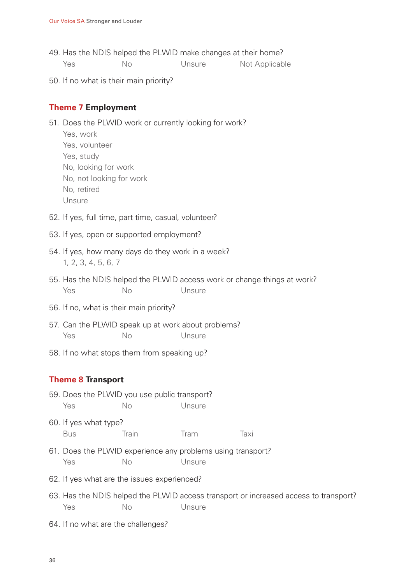- 49. Has the NDIS helped the PLWID make changes at their home? Yes No Unsure Not Applicable
- 50. If no what is their main priority?

#### **Theme 7 Employment**

- 51. Does the PLWID work or currently looking for work?
	- Yes, work Yes, volunteer Yes, study No, looking for work No, not looking for work No, retired Unsure
- 52. If yes, full time, part time, casual, volunteer?
- 53. If yes, open or supported employment?
- 54. If yes, how many days do they work in a week? 1, 2, 3, 4, 5, 6, 7
- 55. Has the NDIS helped the PLWID access work or change things at work? Yes No Unsure
- 56. If no, what is their main priority?
- 57. Can the PLWID speak up at work about problems? Yes No Unsure
- 58. If no what stops them from speaking up?

#### **Theme 8 Transport**

- 59. Does the PLWID you use public transport? Yes No Unsure
- 60. If yes what type? Bus Train Tram Taxi
- 61. Does the PLWID experience any problems using transport? Yes No Unsure
- 62. If yes what are the issues experienced?
- 63. Has the NDIS helped the PLWID access transport or increased access to transport? Yes No Unsure
- 64. If no what are the challenges?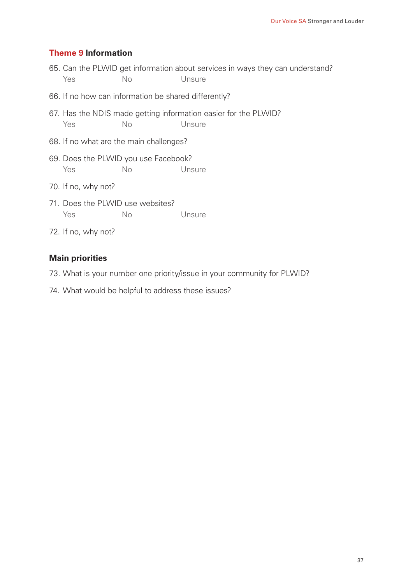#### **Theme 9 Information**

- 65. Can the PLWID get information about services in ways they can understand? Yes No Unsure
- 66. If no how can information be shared differently?
- 67. Has the NDIS made getting information easier for the PLWID? Yes No Unsure
- 68. If no what are the main challenges?
- 69. Does the PLWID you use Facebook? Yes No Unsure
- 70. If no, why not?
- 71. Does the PLWID use websites? Yes No Unsure
- 72. If no, why not?

#### **Main priorities**

- 73. What is your number one priority/issue in your community for PLWID?
- 74. What would be helpful to address these issues?